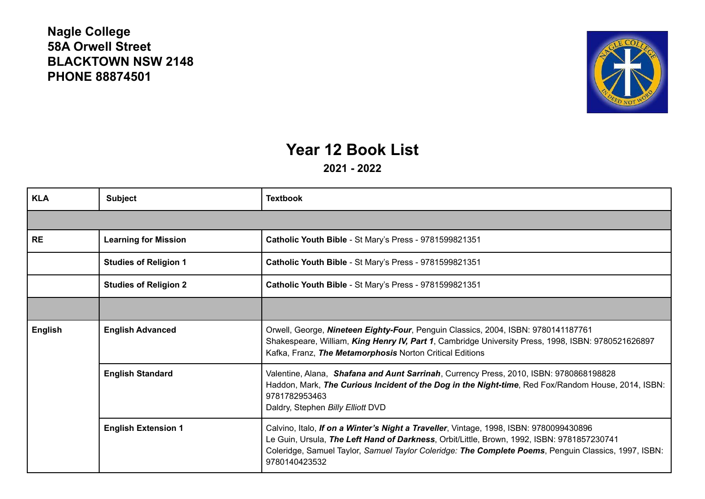## **Nagle College 58A Orwell Street BLACKTOWN NSW 2148 PHONE 88874501**



## **Year 12 Book List**

**2021 - 2022**

| <b>KLA</b> | <b>Subject</b>               | <b>Textbook</b>                                                                                                                                                                                                                                                                                               |
|------------|------------------------------|---------------------------------------------------------------------------------------------------------------------------------------------------------------------------------------------------------------------------------------------------------------------------------------------------------------|
|            |                              |                                                                                                                                                                                                                                                                                                               |
| <b>RE</b>  | <b>Learning for Mission</b>  | Catholic Youth Bible - St Mary's Press - 9781599821351                                                                                                                                                                                                                                                        |
|            | <b>Studies of Religion 1</b> | Catholic Youth Bible - St Mary's Press - 9781599821351                                                                                                                                                                                                                                                        |
|            | <b>Studies of Religion 2</b> | Catholic Youth Bible - St Mary's Press - 9781599821351                                                                                                                                                                                                                                                        |
|            |                              |                                                                                                                                                                                                                                                                                                               |
| English    | <b>English Advanced</b>      | Orwell, George, Nineteen Eighty-Four, Penguin Classics, 2004, ISBN: 9780141187761<br>Shakespeare, William, King Henry IV, Part 1, Cambridge University Press, 1998, ISBN: 9780521626897<br>Kafka, Franz, The Metamorphosis Norton Critical Editions                                                           |
|            | <b>English Standard</b>      | Valentine, Alana, Shafana and Aunt Sarrinah, Currency Press, 2010, ISBN: 9780868198828<br>Haddon, Mark, The Curious Incident of the Dog in the Night-time, Red Fox/Random House, 2014, ISBN:<br>9781782953463<br>Daldry, Stephen Billy Elliott DVD                                                            |
|            | <b>English Extension 1</b>   | Calvino, Italo, If on a Winter's Night a Traveller, Vintage, 1998, ISBN: 9780099430896<br>Le Guin, Ursula, The Left Hand of Darkness, Orbit/Little, Brown, 1992, ISBN: 9781857230741<br>Coleridge, Samuel Taylor, Samuel Taylor Coleridge: The Complete Poems, Penguin Classics, 1997, ISBN:<br>9780140423532 |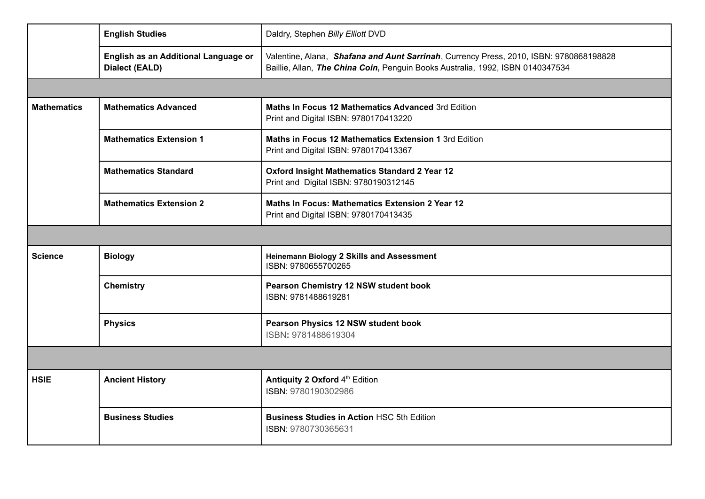|                    | <b>English Studies</b>                                        | Daldry, Stephen Billy Elliott DVD                                                                                                                                        |  |  |
|--------------------|---------------------------------------------------------------|--------------------------------------------------------------------------------------------------------------------------------------------------------------------------|--|--|
|                    | English as an Additional Language or<br><b>Dialect (EALD)</b> | Valentine, Alana, Shafana and Aunt Sarrinah, Currency Press, 2010, ISBN: 9780868198828<br>Baillie, Allan, The China Coin, Penguin Books Australia, 1992, ISBN 0140347534 |  |  |
|                    |                                                               |                                                                                                                                                                          |  |  |
| <b>Mathematics</b> | <b>Mathematics Advanced</b>                                   | Maths In Focus 12 Mathematics Advanced 3rd Edition<br>Print and Digital ISBN: 9780170413220                                                                              |  |  |
|                    | <b>Mathematics Extension 1</b>                                | Maths in Focus 12 Mathematics Extension 1 3rd Edition<br>Print and Digital ISBN: 9780170413367                                                                           |  |  |
|                    | <b>Mathematics Standard</b>                                   | Oxford Insight Mathematics Standard 2 Year 12<br>Print and Digital ISBN: 9780190312145                                                                                   |  |  |
|                    | <b>Mathematics Extension 2</b>                                | Maths In Focus: Mathematics Extension 2 Year 12<br>Print and Digital ISBN: 9780170413435                                                                                 |  |  |
|                    |                                                               |                                                                                                                                                                          |  |  |
| <b>Science</b>     | <b>Biology</b>                                                | Heinemann Biology 2 Skills and Assessment<br>ISBN: 9780655700265                                                                                                         |  |  |
|                    | <b>Chemistry</b>                                              | Pearson Chemistry 12 NSW student book<br>ISBN: 9781488619281                                                                                                             |  |  |
|                    | <b>Physics</b>                                                | Pearson Physics 12 NSW student book<br>ISBN: 9781488619304                                                                                                               |  |  |
|                    |                                                               |                                                                                                                                                                          |  |  |
| <b>HSIE</b>        | <b>Ancient History</b>                                        | Antiquity 2 Oxford 4th Edition<br>ISBN: 9780190302986                                                                                                                    |  |  |
|                    | <b>Business Studies</b>                                       | <b>Business Studies in Action HSC 5th Edition</b><br>ISBN: 9780730365631                                                                                                 |  |  |